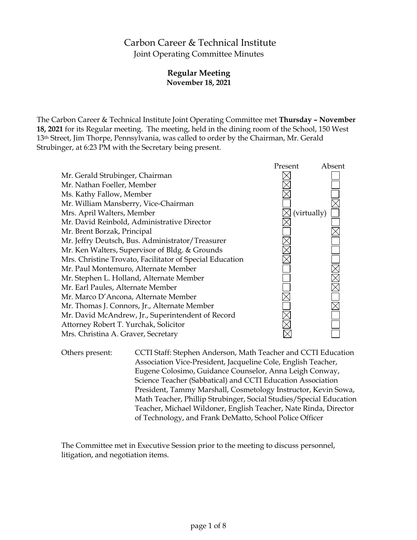# Carbon Career & Technical Institute Joint Operating Committee Minutes

# **Regular Meeting November 18, 2021**

The Carbon Career & Technical Institute Joint Operating Committee met **Thursday – November 18, 2021** for its Regular meeting. The meeting, held in the dining room of the School, 150 West 13th Street, Jim Thorpe, Pennsylvania, was called to order by the Chairman, Mr. Gerald Strubinger, at 6:23 PM with the Secretary being present.



Others present: CCTI Staff: Stephen Anderson, Math Teacher and CCTI Education Association Vice-President, Jacqueline Cole, English Teacher, Eugene Colosimo, Guidance Counselor, Anna Leigh Conway, Science Teacher (Sabbatical) and CCTI Education Association President, Tammy Marshall, Cosmetology Instructor, Kevin Sowa, Math Teacher, Phillip Strubinger, Social Studies/Special Education Teacher, Michael Wildoner, English Teacher, Nate Rinda, Director of Technology, and Frank DeMatto, School Police Officer

The Committee met in Executive Session prior to the meeting to discuss personnel, litigation, and negotiation items.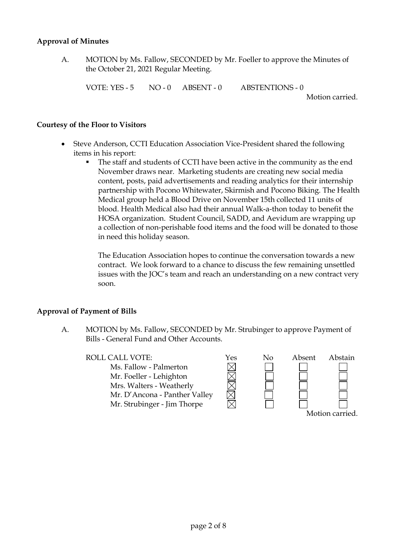#### **Approval of Minutes**

A. MOTION by Ms. Fallow, SECONDED by Mr. Foeller to approve the Minutes of the October 21, 2021 Regular Meeting.

VOTE: YES - 5 NO - 0 ABSENT - 0 ABSTENTIONS - 0

Motion carried.

#### **Courtesy of the Floor to Visitors**

- Steve Anderson, CCTI Education Association Vice-President shared the following items in his report:
	- The staff and students of CCTI have been active in the community as the end November draws near. Marketing students are creating new social media content, posts, paid advertisements and reading analytics for their internship partnership with Pocono Whitewater, Skirmish and Pocono Biking. The Health Medical group held a Blood Drive on November 15th collected 11 units of blood. Health Medical also had their annual Walk-a-thon today to benefit the HOSA organization. Student Council, SADD, and Aevidum are wrapping up a collection of non-perishable food items and the food will be donated to those in need this holiday season.

The Education Association hopes to continue the conversation towards a new contract. We look forward to a chance to discuss the few remaining unsettled issues with the JOC's team and reach an understanding on a new contract very soon.

# **Approval of Payment of Bills**

A. MOTION by Ms. Fallow, SECONDED by Mr. Strubinger to approve Payment of Bills - General Fund and Other Accounts.

#### ROLL CALL VOTE:  $Yes$  No Absent Abstain

MMMM Ms. Fallow - Palmerton Mr. Foeller - Lehighton Mrs. Walters - Weatherly Mr. D'Ancona - Panther Valley Mr. Strubinger - Jim Thorpe Motion carried.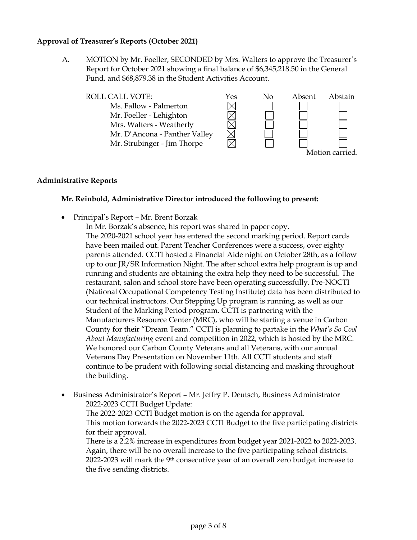#### **Approval of Treasurer's Reports (October 2021)**

A. MOTION by Mr. Foeller, SECONDED by Mrs. Walters to approve the Treasurer's Report for October 2021 showing a final balance of \$6,345,218.50 in the General Fund, and \$68,879.38 in the Student Activities Account.



#### **Administrative Reports**

# **Mr. Reinbold, Administrative Director introduced the following to present:**

Principal's Report – Mr. Brent Borzak

In Mr. Borzak's absence, his report was shared in paper copy. The 2020-2021 school year has entered the second marking period. Report cards have been mailed out. Parent Teacher Conferences were a success, over eighty parents attended. CCTI hosted a Financial Aide night on October 28th, as a follow up to our JR/SR Information Night. The after school extra help program is up and running and students are obtaining the extra help they need to be successful. The restaurant, salon and school store have been operating successfully. Pre-NOCTI (National Occupational Competency Testing Institute) data has been distributed to our technical instructors. Our Stepping Up program is running, as well as our Student of the Marking Period program. CCTI is partnering with the Manufacturers Resource Center (MRC), who will be starting a venue in Carbon County for their "Dream Team." CCTI is planning to partake in the *What's So Cool About Manufacturing* event and competition in 2022, which is hosted by the MRC. We honored our Carbon County Veterans and all Veterans, with our annual Veterans Day Presentation on November 11th. All CCTI students and staff continue to be prudent with following social distancing and masking throughout the building.

 Business Administrator's Report – Mr. Jeffry P. Deutsch, Business Administrator 2022-2023 CCTI Budget Update: The 2022-2023 CCTI Budget motion is on the agenda for approval. This motion forwards the 2022-2023 CCTI Budget to the five participating districts for their approval. There is a 2.2% increase in expenditures from budget year 2021-2022 to 2022-2023. Again, there will be no overall increase to the five participating school districts. 2022-2023 will mark the 9th consecutive year of an overall zero budget increase to

the five sending districts.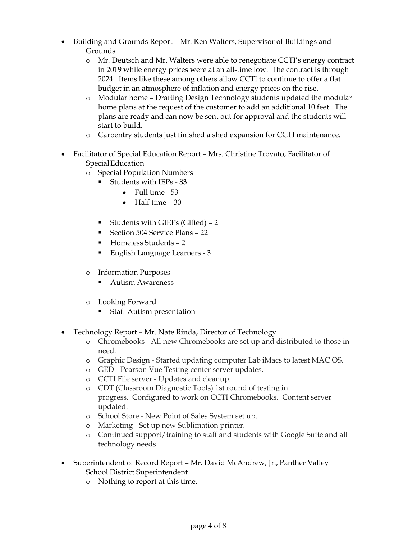- Building and Grounds Report Mr. Ken Walters, Supervisor of Buildings and Grounds
	- o Mr. Deutsch and Mr. Walters were able to renegotiate CCTI's energy contract in 2019 while energy prices were at an all-time low. The contract is through 2024. Items like these among others allow CCTI to continue to offer a flat budget in an atmosphere of inflation and energy prices on the rise.
	- o Modular home Drafting Design Technology students updated the modular home plans at the request of the customer to add an additional 10 feet. The plans are ready and can now be sent out for approval and the students will start to build.
	- o Carpentry students just finished a shed expansion for CCTI maintenance.
- Facilitator of Special Education Report Mrs. Christine Trovato, Facilitator of SpecialEducation
	- o Special Population Numbers
		- Students with IEPs 83
			- $\bullet$  Full time 53
			- $\bullet$  Half time  $-30$
		- Students with GIEPs (Gifted) 2
		- Section 504 Service Plans 22
		- Homeless Students 2
		- **English Language Learners 3**
	- o Information Purposes
		- **Autism Awareness**
	- o Looking Forward
		- **Staff Autism presentation**
- Technology Report Mr. Nate Rinda, Director of Technology
	- o Chromebooks All new Chromebooks are set up and distributed to those in need.
	- o Graphic Design Started updating computer Lab iMacs to latest MAC OS.
	- o GED Pearson Vue Testing center server updates.
	- o CCTI File server Updates and cleanup.
	- o CDT (Classroom Diagnostic Tools) 1st round of testing in progress. Configured to work on CCTI Chromebooks. Content server updated.
	- o School Store New Point of Sales System set up.
	- o Marketing Set up new Sublimation printer.
	- o Continued support/training to staff and students with Google Suite and all technology needs.
- Superintendent of Record Report Mr. David McAndrew, Jr., Panther Valley School District Superintendent
	- o Nothing to report at this time.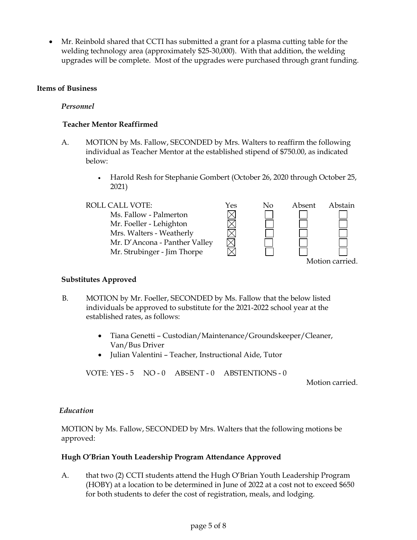Mr. Reinbold shared that CCTI has submitted a grant for a plasma cutting table for the welding technology area (approximately \$25-30,000). With that addition, the welding upgrades will be complete. Most of the upgrades were purchased through grant funding.

# **Items of Business**

#### *Personnel*

#### **Teacher Mentor Reaffirmed**

- A. MOTION by Ms. Fallow, SECONDED by Mrs. Walters to reaffirm the following individual as Teacher Mentor at the established stipend of \$750.00, as indicated below:
	- Harold Resh for Stephanie Gombert (October 26, 2020 through October 25, 2021)

#### ROLL CALL VOTE:  $Y$ es No Absent Abstain MMMM Ms. Fallow - Palmerton Mr. Foeller - Lehighton Mrs. Walters - Weatherly Mr. D'Ancona - Panther Valley Mr. Strubinger - Jim Thorpe Motion carried.

# **Substitutes Approved**

- B. MOTION by Mr. Foeller, SECONDED by Ms. Fallow that the below listed individuals be approved to substitute for the 2021-2022 school year at the established rates, as follows:
	- Tiana Genetti Custodian/Maintenance/Groundskeeper/Cleaner, Van/Bus Driver
	- Julian Valentini Teacher, Instructional Aide, Tutor

VOTE: YES - 5 NO - 0 ABSENT - 0 ABSTENTIONS - 0

Motion carried.

# *Education*

MOTION by Ms. Fallow, SECONDED by Mrs. Walters that the following motions be approved:

#### **Hugh O'Brian Youth Leadership Program Attendance Approved**

A. that two (2) CCTI students attend the Hugh O'Brian Youth Leadership Program (HOBY) at a location to be determined in June of 2022 at a cost not to exceed \$650 for both students to defer the cost of registration, meals, and lodging.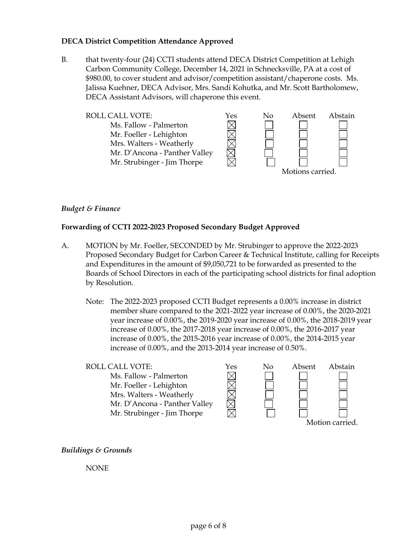#### **DECA District Competition Attendance Approved**

B. that twenty-four (24) CCTI students attend DECA District Competition at Lehigh Carbon Community College, December 14, 2021 in Schnecksville, PA at a cost of \$980.00, to cover student and advisor/competition assistant/chaperone costs. Ms. Jalissa Kuehner, DECA Advisor, Mrs. Sandi Kohutka, and Mr. Scott Bartholomew, DECA Assistant Advisors, will chaperone this event.



#### *Budget & Finance*

#### **Forwarding of CCTI 2022-2023 Proposed Secondary Budget Approved**

- A. MOTION by Mr. Foeller, SECONDED by Mr. Strubinger to approve the 2022-2023 Proposed Secondary Budget for Carbon Career & Technical Institute, calling for Receipts and Expenditures in the amount of \$9,050,721 to be forwarded as presented to the Boards of School Directors in each of the participating school districts for final adoption by Resolution.
	- Note: The 2022-2023 proposed CCTI Budget represents a 0.00% increase in district member share compared to the 2021-2022 year increase of 0.00%, the 2020-2021 year increase of 0.00%, the 2019-2020 year increase of 0.00%, the 2018-2019 year increase of 0.00%, the 2017-2018 year increase of 0.00%, the 2016-2017 year increase of 0.00%, the 2015-2016 year increase of 0.00%, the 2014-2015 year increase of 0.00%, and the 2013-2014 year increase of 0.50%.

| <b>ROLL CALL VOTE:</b>        | Yes | Nο | Absent | Abstain |
|-------------------------------|-----|----|--------|---------|
| Ms. Fallow - Palmerton        |     |    |        |         |
| Mr. Foeller - Lehighton       |     |    |        |         |
| Mrs. Walters - Weatherly      |     |    |        |         |
| Mr. D'Ancona - Panther Valley |     |    |        |         |
| Mr. Strubinger - Jim Thorpe   |     |    |        |         |
|                               |     |    |        |         |

*Buildings & Grounds*

NONE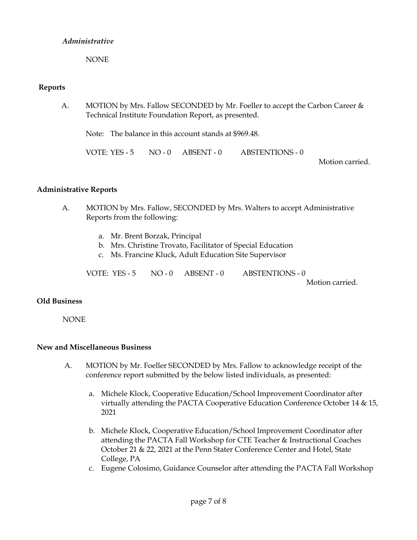# *Administrative*

NONE

# **Reports**

A. MOTION by Mrs. Fallow SECONDED by Mr. Foeller to accept the Carbon Career & Technical Institute Foundation Report, as presented.

Note: The balance in this account stands at \$969.48.

VOTE: YES - 5 NO - 0 ABSENT - 0 ABSTENTIONS - 0

Motion carried.

# **Administrative Reports**

- A. MOTION by Mrs. Fallow, SECONDED by Mrs. Walters to accept Administrative Reports from the following:
	- a. Mr. Brent Borzak, Principal
	- b. Mrs. Christine Trovato, Facilitator of Special Education
	- c. Ms. Francine Kluck, Adult Education Site Supervisor

VOTE: YES - 5 NO - 0 ABSENT - 0 ABSTENTIONS - 0

Motion carried.

# **Old Business**

**NONE** 

# **New and Miscellaneous Business**

- A. MOTION by Mr. Foeller SECONDED by Mrs. Fallow to acknowledge receipt of the conference report submitted by the below listed individuals, as presented:
	- a. Michele Klock, Cooperative Education/School Improvement Coordinator after virtually attending the PACTA Cooperative Education Conference October 14 & 15, 2021
	- b. Michele Klock, Cooperative Education/School Improvement Coordinator after attending the PACTA Fall Workshop for CTE Teacher & Instructional Coaches October 21 & 22, 2021 at the Penn Stater Conference Center and Hotel, State College, PA
	- c. Eugene Colosimo, Guidance Counselor after attending the PACTA Fall Workshop